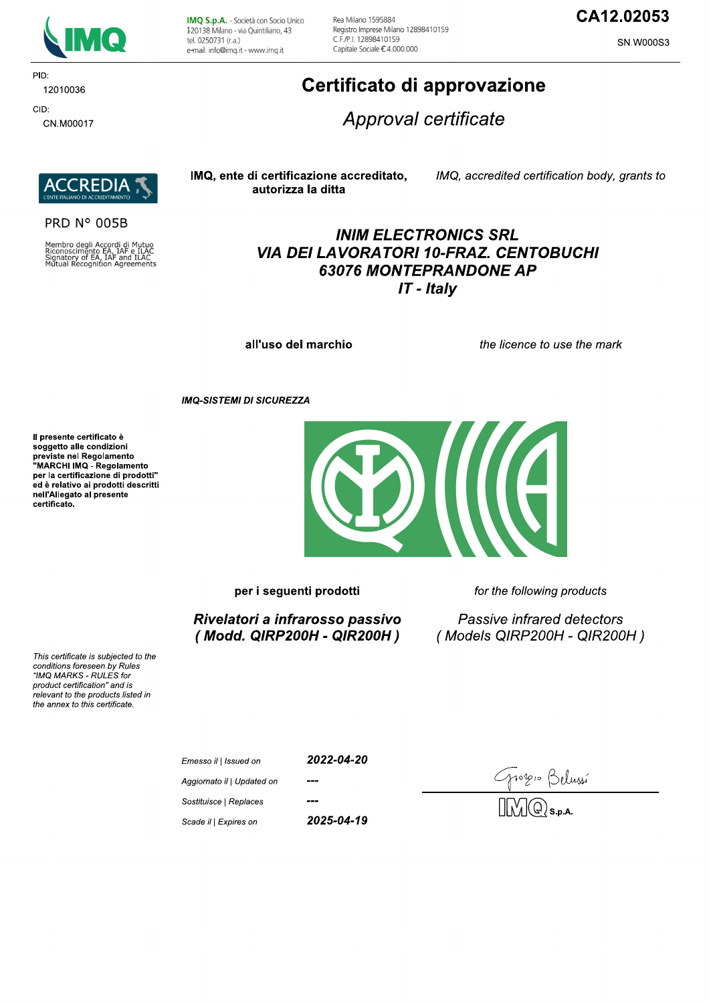

PID: 12010036 CID:

CN.M00017

IMQ S.p.A. - Società con Socio Unico I 20138 Milano - via Quintiliano, 43 tel. 0250731 (r.a.) e-mail: info@imq.it - www.imq.it

Rea Milano 1595884 Registro Imprese Milano 12898410159 C.F./P.I. 12898410159 Capitale Sociale €4.000.000

## CA12.02053

**SN.W000S3** 

# Certificato di approvazione

Approval certificate



**PRD N° 005B** 

Membro degli Accordi di Mutuo<br>Riconoscimento EA, IAF e ILAC<br>Signatory of EA, IAF and ILAC<br>Mutual Recognition Agreements

#### IMQ, ente di certificazione accreditato, autorizza la ditta

IMQ, accredited certification body, grants to

## **INIM ELECTRONICS SRL VIA DEI LAVORATORI 10-FRAZ. CENTOBUCHI 63076 MONTEPRANDONE AP**  $IT$  - Italy

all'uso del marchio

the licence to use the mark

**IMQ-SISTEMI DI SICUREZZA** 

Il presente certificato è soggetto alle condizioni Soggetto and containmento<br>previste nel Regolamento<br>"MARCHI IMQ - Regolamento per la certificazione di prodotti" ed è relativo ai prodotti descritti nell'Allegato al presente certificato.



per i seguenti prodotti

Rivelatori a infrarosso passivo (Modd. QIRP200H - QIR200H) for the following products

Passive infrared detectors (Models QIRP200H - QIR200H)

This certificate is subjected to the conditions foreseen by Rules "IMQ MARKS - RULES for product certification" and is relevant to the products listed in the annex to this certificate.

| Emesso il   Issued on      | 2022-04-20 |  |
|----------------------------|------------|--|
| Aggiornato il   Updated on | ---        |  |
| Sostituisce   Replaces     | ---        |  |
| Scade il   Expires on      | 2025-04-19 |  |

0210 Belussí<br>DQ s.p.a.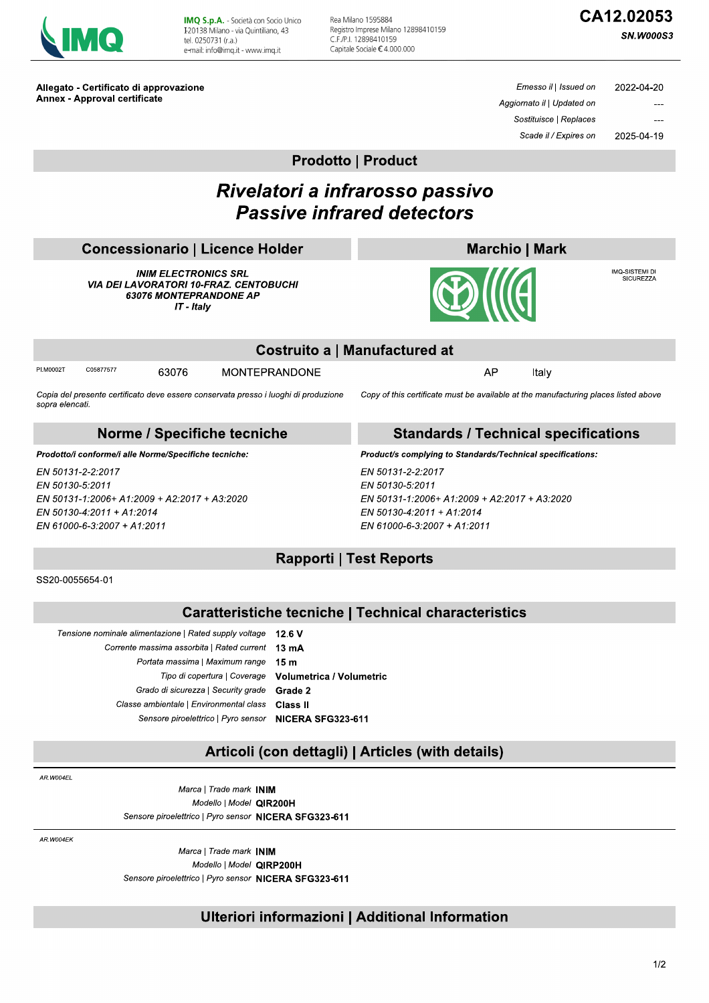| <b>Contract Contract Contract Contract Contract Contract Contract Contract Contract Contract Contract Contract Co</b><br><b>Service Service</b> |
|-------------------------------------------------------------------------------------------------------------------------------------------------|
|-------------------------------------------------------------------------------------------------------------------------------------------------|

IMQ S.p.A. - Società con Socio Unico I 20138 Milano - via Quintiliano, 43 tel. 0250731 (r.a.) e-mail: info@img.it - www.img.it

Rea Milano 1595884 Registro Imprese Milano 12898410159 C.F./P.I. 12898410159 Capitale Sociale €4.000.000

# CA12.02053

**SN.W000S3** 

Allegato - Certificato di approvazione **Annex - Approval certificate** 

Emesso il | Issued on 2022-04-20 Aggiornato il | Updated on Sostituisce | Replaces Scade il / Expires on 2025-04-19

**Prodotto | Product** 

# Rivelatori a infrarosso passivo **Passive infrared detectors**

| Concessionario   Licence Holder |  |
|---------------------------------|--|
|                                 |  |

**INIM ELECTRONICS SRL VIA DEI LAVORATORI 10-FRAZ. CENTOBUCHI** 63076 MONTEPRANDONE AP IT - Italy



IMQ-SISTEMI DI<br>SICUREZZA



|      | Costruito a   Manufactured at |    |       |
|------|-------------------------------|----|-------|
| 3076 | <b>MONTEPRANDONE</b>          | AP | Italv |

Copia del presente certificato deve essere conservata presso i luoghi di produzione sopra elencati

#### Norme / Specifiche tecniche

Prodotto/i conforme/i alle Norme/Specifiche tecniche:

6

EN 50131-2-2:2017 EN 50130-5:2011 EN 50131-1:2006+ A1:2009 + A2:2017 + A3:2020 EN 50130-4:2011 + A1:2014 EN 61000-6-3:2007 + A1:2011

#### **Standards / Technical specifications**

Copy of this certificate must be available at the manufacturing places listed above

Product/s complying to Standards/Technical specifications:

EN 50131-2-2:2017 EN 50130-5:2011 EN 50131-1:2006+ A1:2009 + A2:2017 + A3:2020 EN 50130-4:2011 + A1:2014 EN 61000-6-3:2007 + A1:2011

## **Rapporti | Test Reports**

SS20-0055654-01

PLM0002T

C05877577

### **Caratteristiche tecniche | Technical characteristics**

| 12.6V                           | Tensione nominale alimentazione   Rated supply voltage |  |
|---------------------------------|--------------------------------------------------------|--|
| $13 \text{ mA}$                 | Corrente massima assorbita   Rated current             |  |
| 15 m                            | Portata massima   Maximum range                        |  |
| <b>Volumetrica / Volumetric</b> | Tipo di copertura   Coverage                           |  |
| Grade 2                         | Grado di sicurezza   Security grade                    |  |
| Class II                        | Classe ambientale   Environmental class                |  |
| NICERA SFG323-611               | Sensore piroelettrico   Pyro sensor                    |  |
|                                 |                                                        |  |

### Articoli (con dettagli) | Articles (with details)

AR W004FI

Marca | Trade mark INIM Modello | Model QIR200H Sensore piroelettrico | Pyro sensor NICERA SFG323-611

AR.W004EK

Marca | Trade mark INIM Modello | Model QIRP200H Sensore piroelettrico | Pyro sensor NICERA SFG323-611

### Ulteriori informazioni | Additional Information